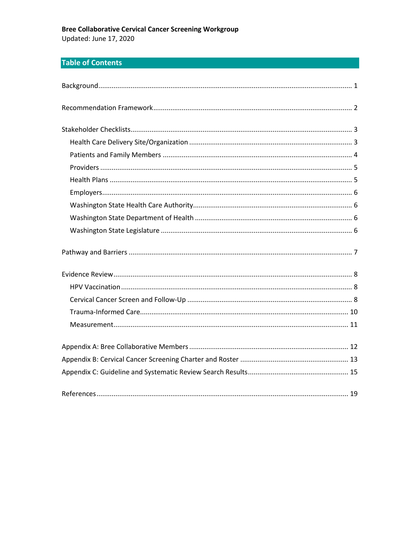## **Bree Collaborative Cervical Cancer Screening Workgroup** Updated: June 17, 2020

# **Table of Contents**

| 19 |
|----|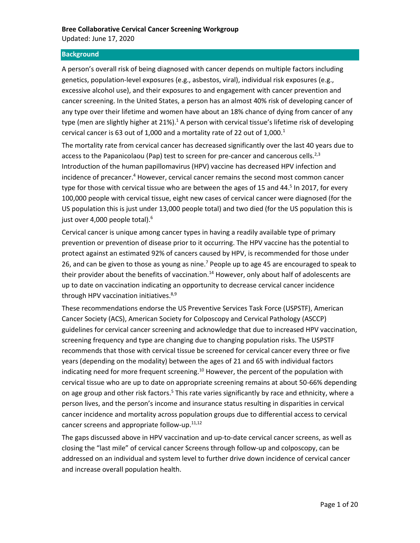### <span id="page-1-0"></span>**Background**

A person's overall risk of being diagnosed with cancer depends on multiple factors including genetics, population-level exposures (e.g., asbestos, viral), individual risk exposures (e.g., excessive alcohol use), and their exposures to and engagement with cancer prevention and cancer screening. In the United States, a person has an almost 40% risk of developing cancer of any type over their lifetime and women have about an 18% chance of dying from cancer of any type (men are slightly higher at 21%).<sup>1</sup> A person with cervical tissue's lifetime risk of developing cervical cancer is 63 out of 1,000 and a mortality rate of 22 out of  $1,000$ .<sup>1</sup>

The mortality rate from cervical cancer has decreased significantly over the last 40 years due to access to the Papanicolaou (Pap) test to screen for pre-cancer and cancerous cells.<sup>2,3</sup> Introduction of the human papillomavirus (HPV) vaccine has decreased HPV infection and incidence of precancer. <sup>4</sup> However, cervical cancer remains the second most common cancer type for those with cervical tissue who are between the ages of 15 and 44.<sup>5</sup> In 2017, for every 100,000 people with cervical tissue, eight new cases of cervical cancer were diagnosed (for the US population this is just under 13,000 people total) and two died (for the US population this is just over 4,000 people total).<sup>6</sup>

Cervical cancer is unique among cancer types in having a readily available type of primary prevention or prevention of disease prior to it occurring. The HPV vaccine has the potential to protect against an estimated 92% of cancers caused by HPV, is recommended for those under 26, and can be given to those as young as nine.<sup>7</sup> People up to age 45 are encouraged to speak to their provider about the benefits of vaccination.<sup>14</sup> However, only about half of adolescents are up to date on vaccination indicating an opportunity to decrease cervical cancer incidence through HPV vaccination initiatives.<sup>8,9</sup>

These recommendations endorse the US Preventive Services Task Force (USPSTF), American Cancer Society (ACS), American Society for Colposcopy and Cervical Pathology (ASCCP) guidelines for cervical cancer screening and acknowledge that due to increased HPV vaccination, screening frequency and type are changing due to changing population risks. The USPSTF recommends that those with cervical tissue be screened for cervical cancer every three or five years (depending on the modality) between the ages of 21 and 65 with individual factors indicating need for more frequent screening.<sup>10</sup> However, the percent of the population with cervical tissue who are up to date on appropriate screening remains at about 50-66% depending on age group and other risk factors.<sup>5</sup> This rate varies significantly by race and ethnicity, where a person lives, and the person's income and insurance status resulting in disparities in cervical cancer incidence and mortality across population groups due to differential access to cervical cancer screens and appropriate follow-up.<sup>11,12</sup>

The gaps discussed above in HPV vaccination and up-to-date cervical cancer screens, as well as closing the "last mile" of cervical cancer Screens through follow-up and colposcopy, can be addressed on an individual and system level to further drive down incidence of cervical cancer and increase overall population health.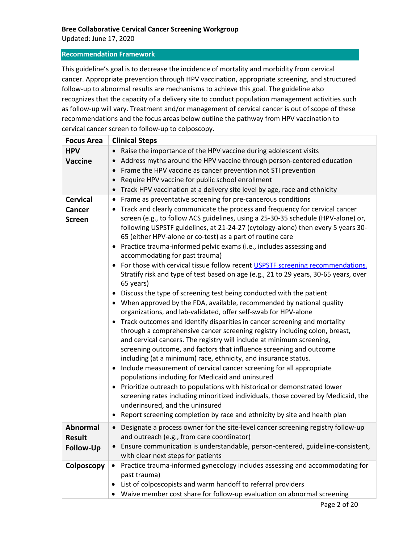Updated: June 17, 2020

## <span id="page-2-0"></span>**Recommendation Framework**

This guideline's goal is to decrease the incidence of mortality and morbidity from cervical cancer. Appropriate prevention through HPV vaccination, appropriate screening, and structured follow-up to abnormal results are mechanisms to achieve this goal. The guideline also recognizes that the capacity of a delivery site to conduct population management activities such as follow-up will vary. Treatment and/or management of cervical cancer is out of scope of these recommendations and the focus areas below outline the pathway from HPV vaccination to cervical cancer screen to follow-up to colposcopy.

| <b>Focus Area</b> | <b>Clinical Steps</b>                                                                                                                                                 |
|-------------------|-----------------------------------------------------------------------------------------------------------------------------------------------------------------------|
| <b>HPV</b>        | Raise the importance of the HPV vaccine during adolescent visits                                                                                                      |
| <b>Vaccine</b>    | Address myths around the HPV vaccine through person-centered education                                                                                                |
|                   | Frame the HPV vaccine as cancer prevention not STI prevention<br>$\bullet$                                                                                            |
|                   | Require HPV vaccine for public school enrollment<br>$\bullet$                                                                                                         |
|                   | Track HPV vaccination at a delivery site level by age, race and ethnicity                                                                                             |
| <b>Cervical</b>   | Frame as preventative screening for pre-cancerous conditions<br>$\bullet$                                                                                             |
| <b>Cancer</b>     | Track and clearly communicate the process and frequency for cervical cancer<br>$\bullet$                                                                              |
| <b>Screen</b>     | screen (e.g., to follow ACS guidelines, using a 25-30-35 schedule (HPV-alone) or,<br>following USPSTF guidelines, at 21-24-27 (cytology-alone) then every 5 years 30- |
|                   | 65 (either HPV-alone or co-test) as a part of routine care                                                                                                            |
|                   | • Practice trauma-informed pelvic exams (i.e., includes assessing and                                                                                                 |
|                   | accommodating for past trauma)                                                                                                                                        |
|                   | For those with cervical tissue follow recent USPSTF screening recommendations.<br>$\bullet$                                                                           |
|                   | Stratify risk and type of test based on age (e.g., 21 to 29 years, 30-65 years, over                                                                                  |
|                   | 65 years)                                                                                                                                                             |
|                   | • Discuss the type of screening test being conducted with the patient                                                                                                 |
|                   | • When approved by the FDA, available, recommended by national quality                                                                                                |
|                   | organizations, and lab-validated, offer self-swab for HPV-alone                                                                                                       |
|                   | Track outcomes and identify disparities in cancer screening and mortality<br>$\bullet$                                                                                |
|                   | through a comprehensive cancer screening registry including colon, breast,                                                                                            |
|                   | and cervical cancers. The registry will include at minimum screening,<br>screening outcome, and factors that influence screening and outcome                          |
|                   | including (at a minimum) race, ethnicity, and insurance status.                                                                                                       |
|                   | • Include measurement of cervical cancer screening for all appropriate                                                                                                |
|                   | populations including for Medicaid and uninsured                                                                                                                      |
|                   | • Prioritize outreach to populations with historical or demonstrated lower                                                                                            |
|                   | screening rates including minoritized individuals, those covered by Medicaid, the                                                                                     |
|                   | underinsured, and the uninsured                                                                                                                                       |
|                   | • Report screening completion by race and ethnicity by site and health plan                                                                                           |
| <b>Abnormal</b>   | Designate a process owner for the site-level cancer screening registry follow-up<br>$\bullet$                                                                         |
| <b>Result</b>     | and outreach (e.g., from care coordinator)                                                                                                                            |
| <b>Follow-Up</b>  | Ensure communication is understandable, person-centered, guideline-consistent,                                                                                        |
|                   | with clear next steps for patients                                                                                                                                    |
| Colposcopy        | Practice trauma-informed gynecology includes assessing and accommodating for<br>$\bullet$                                                                             |
|                   | past trauma)                                                                                                                                                          |
|                   | List of colposcopists and warm handoff to referral providers                                                                                                          |
|                   | Waive member cost share for follow-up evaluation on abnormal screening                                                                                                |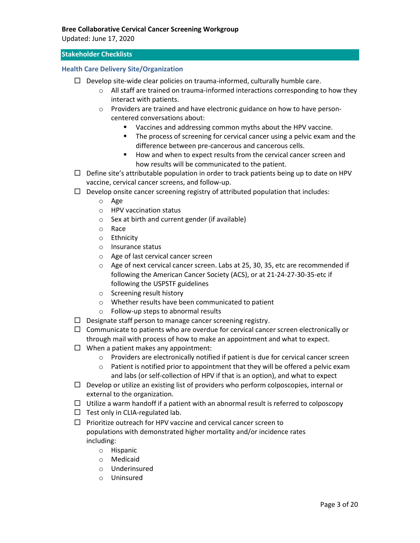Updated: June 17, 2020

## <span id="page-3-0"></span>**Stakeholder Checklists**

## <span id="page-3-1"></span>**Health Care Delivery Site/Organization**

- $\Box$  Develop site-wide clear policies on trauma-informed, culturally humble care.
	- $\circ$  All staff are trained on trauma-informed interactions corresponding to how they interact with patients.
	- o Providers are trained and have electronic guidance on how to have personcentered conversations about:
		- Vaccines and addressing common myths about the HPV vaccine.
		- The process of screening for cervical cancer using a pelvic exam and the difference between pre-cancerous and cancerous cells.
		- How and when to expect results from the cervical cancer screen and how results will be communicated to the patient.
- $\Box$  Define site's attributable population in order to track patients being up to date on HPV vaccine, cervical cancer screens, and follow-up.
- $\Box$  Develop onsite cancer screening registry of attributed population that includes:
	- o Age
	- o HPV vaccination status
	- o Sex at birth and current gender (if available)
	- o Race
	- o Ethnicity
	- o Insurance status
	- o Age of last cervical cancer screen
	- o Age of next cervical cancer screen. Labs at 25, 30, 35, etc are recommended if following the American Cancer Society (ACS), or at 21-24-27-30-35-etc if following the USPSTF guidelines
	- o Screening result history
	- o Whether results have been communicated to patient
	- o Follow-up steps to abnormal results
- $\Box$  Designate staff person to manage cancer screening registry.
- $\Box$  Communicate to patients who are overdue for cervical cancer screen electronically or through mail with process of how to make an appointment and what to expect.
- $\Box$  When a patient makes any appointment:
	- o Providers are electronically notified if patient is due for cervical cancer screen
	- o Patient is notified prior to appointment that they will be offered a pelvic exam and labs (or self-collection of HPV if that is an option), and what to expect
- $\Box$  Develop or utilize an existing list of providers who perform colposcopies, internal or external to the organization.
- $\Box$  Utilize a warm handoff if a patient with an abnormal result is referred to colposcopy
- $\Box$  Test only in CLIA-regulated lab.
- $\Box$  Prioritize outreach for HPV vaccine and cervical cancer screen to populations with demonstrated higher mortality and/or incidence rates including:
	- o Hispanic
	- o Medicaid
	- o Underinsured
	- o Uninsured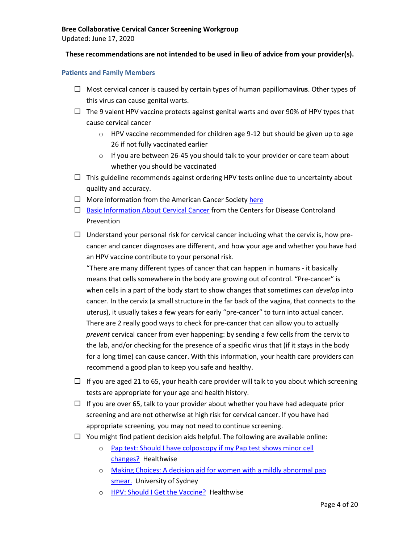Updated: June 17, 2020

## **These recommendations are not intended to be used in lieu of advice from your provider(s).**

## <span id="page-4-0"></span>**Patients and Family Members**

- Most cervical cancer is caused by certain types of human papilloma**virus**. Other types of this virus can cause genital warts.
- $\Box$  The 9 valent HPV vaccine protects against genital warts and over 90% of HPV types that cause cervical cancer
	- o HPV vaccine recommended for children age 9-12 but should be given up to age 26 if not fully vaccinated earlier
	- o If you are between 26-45 you should talk to your provider or care team about whether you should be vaccinated
- $\Box$  This guideline recommends against ordering HPV tests online due to uncertainty about quality and accuracy.
- $\Box$  More information from the American Cancer Societ[y here](https://www.cancer.org/cancer/cervical-cancer/about/what-is-cervical-cancer.html)
- $\Box$  [Basic Information About Cervical Cancer](https://www.cdc.gov/cancer/cervical/basic_info/index.htm) from the Centers for Disease Controland Prevention
- $\Box$  Understand your personal risk for cervical cancer including what the cervix is, how precancer and cancer diagnoses are different, and how your age and whether you have had an HPV vaccine contribute to your personal risk.

"There are many different types of cancer that can happen in humans - it basically means that cells somewhere in the body are growing out of control. "Pre-cancer" is when cells in a part of the body start to show changes that sometimes can *develop* into cancer. In the cervix (a small structure in the far back of the vagina, that connects to the uterus), it usually takes a few years for early "pre-cancer" to turn into actual cancer. There are 2 really good ways to check for pre-cancer that can allow you to actually *prevent* cervical cancer from ever happening: by sending a few cells from the cervix to the lab, and/or checking for the presence of a specific virus that (if it stays in the body for a long time) can cause cancer. With this information, your health care providers can recommend a good plan to keep you safe and healthy.

- $\Box$  If you are aged 21 to 65, your health care provider will talk to you about which screening tests are appropriate for your age and health history.
- $\Box$  If you are over 65, talk to your provider about whether you have had adequate prior screening and are not otherwise at high risk for cervical cancer. If you have had appropriate screening, you may not need to continue screening.
- $\Box$  You might find patient decision aids helpful. The following are available online:
	- o [Pap test: Should I have colposcopy if my Pap test shows minor](https://decisionaid.ohri.ca/AZsumm.php?ID=1026) cell [changes?](https://decisionaid.ohri.ca/AZsumm.php?ID=1026) Healthwise
	- o [Making Choices: A decision aid for women with a mildly abnormal pap](https://decisionaid.ohri.ca/AZsumm.php?ID=1251)  [smear.](https://decisionaid.ohri.ca/AZsumm.php?ID=1251) University of Sydney
	- o [HPV: Should I Get the Vaccine?](https://decisionaid.ohri.ca/AZsumm.php?ID=1647) Healthwise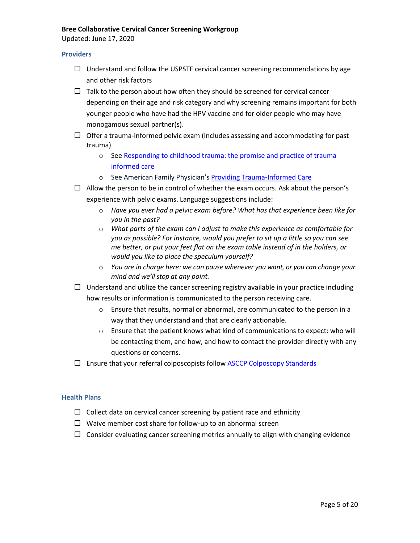Updated: June 17, 2020

#### <span id="page-5-0"></span>**Providers**

- $\Box$  Understand and follow the USPSTF cervical cancer screening recommendations by age and other risk factors
- $\Box$  Talk to the person about how often they should be screened for cervical cancer depending on their age and risk category and why screening remains important for both younger people who have had the HPV vaccine and for older people who may have monogamous sexual partner(s).
- $\Box$  Offer a trauma-informed pelvic exam (includes assessing and accommodating for past trauma)
	- o See [Responding to childhood trauma: the promise and practice of trauma](http://childrescuebill.org/VictimsOfAbuse/RespondingHodas.pdf) [informed](http://childrescuebill.org/VictimsOfAbuse/RespondingHodas.pdf) care
	- o See American Family Physician's Providing [Trauma-Informed](https://www.aafp.org/afp/2017/0515/p655.html#afp20170515p655-b1) Care
- $\Box$  Allow the person to be in control of whether the exam occurs. Ask about the person's experience with pelvic exams. Language suggestions include:
	- o *Have you ever had a pelvic exam before? What has that experience been like for you in the past?*
	- o *What parts of the exam can I adjust to make this experience as comfortable for you as possible? For instance, would you prefer to sit up a little so you can see me better, or put your feet flat on the exam table instead of in the holders, or would you like to place the speculum yourself?*
	- o *You are in charge here: we can pause whenever you want, or you can change your mind and we'll stop at any point.*
- $\Box$  Understand and utilize the cancer screening registry available in your practice including how results or information is communicated to the person receiving care.
	- o Ensure that results, normal or abnormal, are communicated to the person in a way that they understand and that are clearly actionable.
	- $\circ$  Ensure that the patient knows what kind of communications to expect: who will be contacting them, and how, and how to contact the provider directly with any questions or concerns.
- $\Box$  Ensure that your referral colposcopists follow ASCCP [Colposcopy](https://pubmed.ncbi.nlm.nih.gov/28953110/) Standards

### <span id="page-5-1"></span>**Health Plans**

- $\Box$  Collect data on cervical cancer screening by patient race and ethnicity
- $\Box$  Waive member cost share for follow-up to an abnormal screen
- $\Box$  Consider evaluating cancer screening metrics annually to align with changing evidence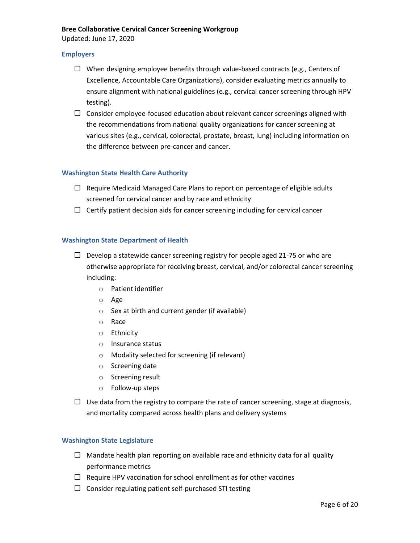Updated: June 17, 2020

### <span id="page-6-0"></span>**Employers**

- $\Box$  When designing employee benefits through value-based contracts (e.g., Centers of Excellence, Accountable Care Organizations), consider evaluating metrics annually to ensure alignment with national guidelines (e.g., cervical cancer screening through HPV testing).
- $\Box$  Consider employee-focused education about relevant cancer screenings aligned with the recommendations from national quality organizations for cancer screening at various sites (e.g., cervical, colorectal, prostate, breast, lung) including information on the difference between pre-cancer and cancer.

### <span id="page-6-1"></span>**Washington State Health Care Authority**

- $\Box$  Require Medicaid Managed Care Plans to report on percentage of eligible adults screened for cervical cancer and by race and ethnicity
- $\Box$  Certify patient decision aids for cancer screening including for cervical cancer

### <span id="page-6-2"></span>**Washington State Department of Health**

- $\Box$  Develop a statewide cancer screening registry for people aged 21-75 or who are otherwise appropriate for receiving breast, cervical, and/or colorectal cancer screening including:
	- o Patient identifier
	- o Age
	- o Sex at birth and current gender (if available)
	- o Race
	- o Ethnicity
	- o Insurance status
	- o Modality selected for screening (if relevant)
	- o Screening date
	- o Screening result
	- o Follow-up steps
- $\Box$  Use data from the registry to compare the rate of cancer screening, stage at diagnosis, and mortality compared across health plans and delivery systems

## <span id="page-6-3"></span>**Washington State Legislature**

- $\Box$  Mandate health plan reporting on available race and ethnicity data for all quality performance metrics
- $\Box$  Require HPV vaccination for school enrollment as for other vaccines
- $\Box$  Consider regulating patient self-purchased STI testing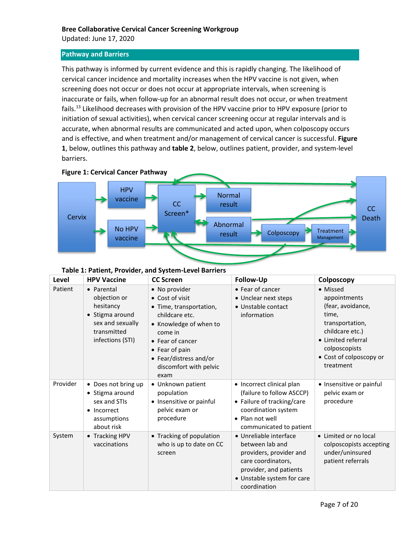Updated: June 17, 2020

### <span id="page-7-0"></span>**Pathway and Barriers**

This pathway is informed by current evidence and this is rapidly changing. The likelihood of cervical cancer incidence and mortality increases when the HPV vaccine is not given, when screening does not occur or does not occur at appropriate intervals, when screening is inaccurate or fails, when follow-up for an abnormal result does not occur, or when treatment fails.<sup>13</sup> Likelihood decreases with provision of the HPV vaccine prior to HPV exposure (prior to initiation of sexual activities), when cervical cancer screening occur at regular intervals and is accurate, when abnormal results are communicated and acted upon, when colposcopy occurs and is effective, and when treatment and/or management of cervical cancer is successful. **Figure 1**, below, outlines this pathway and **table 2**, below, outlines patient, provider, and system-level barriers.



|  | Table 1: Patient, Provider, and System-Level Barriers |
|--|-------------------------------------------------------|
|--|-------------------------------------------------------|

| Level    | <b>HPV Vaccine</b>                                                                                                | <b>CC Screen</b>                                                                                                                                                                                                     | Follow-Up                                                                                                                                                          | Colposcopy                                                                                                                                                                  |
|----------|-------------------------------------------------------------------------------------------------------------------|----------------------------------------------------------------------------------------------------------------------------------------------------------------------------------------------------------------------|--------------------------------------------------------------------------------------------------------------------------------------------------------------------|-----------------------------------------------------------------------------------------------------------------------------------------------------------------------------|
| Patient  | • Parental<br>objection or<br>hesitancy<br>• Stigma around<br>sex and sexually<br>transmitted<br>infections (STI) | • No provider<br>• Cost of visit<br>• Time, transportation,<br>childcare etc.<br>• Knowledge of when to<br>come in<br>• Fear of cancer<br>• Fear of pain<br>• Fear/distress and/or<br>discomfort with pelvic<br>exam | • Fear of cancer<br>• Unclear next steps<br>• Unstable contact<br>information                                                                                      | • Missed<br>appointments<br>(fear, avoidance,<br>time,<br>transportation,<br>childcare etc.)<br>• Limited referral<br>colposcopists<br>• Cost of colposcopy or<br>treatment |
| Provider | • Does not bring up<br>• Stigma around<br>sex and STIs<br>• Incorrect<br>assumptions<br>about risk                | • Unknown patient<br>population<br>• Insensitive or painful<br>pelvic exam or<br>procedure                                                                                                                           | • Incorrect clinical plan<br>(failure to follow ASCCP)<br>• Failure of tracking/care<br>coordination system<br>• Plan not well<br>communicated to patient          | • Insensitive or painful<br>pelvic exam or<br>procedure                                                                                                                     |
| System   | • Tracking HPV<br>vaccinations                                                                                    | • Tracking of population<br>who is up to date on CC<br>screen                                                                                                                                                        | · Unreliable interface<br>between lab and<br>providers, provider and<br>care coordinators,<br>provider, and patients<br>• Unstable system for care<br>coordination | • Limited or no local<br>colposcopists accepting<br>under/uninsured<br>patient referrals                                                                                    |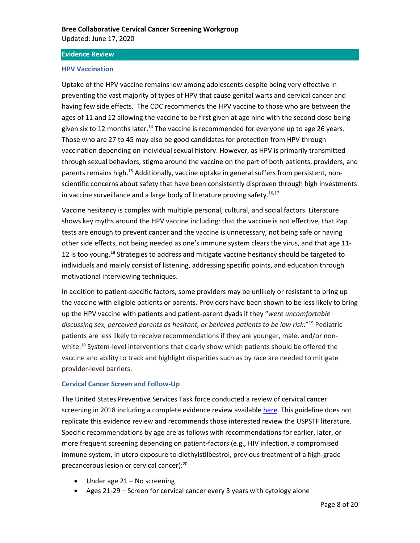#### <span id="page-8-0"></span>**Evidence Review**

#### <span id="page-8-1"></span>**HPV Vaccination**

Uptake of the HPV vaccine remains low among adolescents despite being very effective in preventing the vast majority of types of HPV that cause genital warts and cervical cancer and having few side effects. The CDC recommends the HPV vaccine to those who are between the ages of 11 and 12 allowing the vaccine to be first given at age nine with the second dose being given six to 12 months later.<sup>14</sup> The vaccine is recommended for everyone up to age 26 years. Those who are 27 to 45 may also be good candidates for protection from HPV through vaccination depending on individual sexual history. However, as HPV is primarily transmitted through sexual behaviors, stigma around the vaccine on the part of both patients, providers, and parents remains high.<sup>15</sup> Additionally, vaccine uptake in general suffers from persistent, nonscientific concerns about safety that have been consistently disproven through high investments in vaccine surveillance and a large body of literature proving safety.<sup>16,17</sup>

Vaccine hesitancy is complex with multiple personal, cultural, and social factors. Literature shows key myths around the HPV vaccine including: that the vaccine is not effective, that Pap tests are enough to prevent cancer and the vaccine is unnecessary, not being safe or having other side effects, not being needed as one's immune system clears the virus, and that age 11- 12 is too young.<sup>18</sup> Strategies to address and mitigate vaccine hesitancy should be targeted to individuals and mainly consist of listening, addressing specific points, and education through motivational interviewing techniques.

In addition to patient-specific factors, some providers may be unlikely or resistant to bring up the vaccine with eligible patients or parents. Providers have been shown to be less likely to bring up the HPV vaccine with patients and patient-parent dyads if they "*were uncomfortable discussing sex, perceived parents as hesitant, or believed patients to be low risk*."<sup>19</sup> Pediatric patients are less likely to receive recommendations if they are younger, male, and/or nonwhite.<sup>19</sup> System-level interventions that clearly show which patients should be offered the vaccine and ability to track and highlight disparities such as by race are needed to mitigate provider-level barriers.

## <span id="page-8-2"></span>**Cervical Cancer Screen and Follow-Up**

The United States Preventive Services Task force conducted a review of cervical cancer screening in 2018 including a complete evidence review available [here.](https://www.uspreventiveservicestaskforce.org/uspstf/document/evidence-summary/cervical-cancer-screening) This guideline does not replicate this evidence review and recommends those interested review the USPSTF literature. Specific recommendations by age are as follows with recommendations for earlier, later, or more frequent screening depending on patient-factors (e.g., HIV infection, a compromised immune system, in utero exposure to diethylstilbestrol, previous treatment of a high-grade precancerous lesion or cervical cancer):<sup>20</sup>

- Under age 21 No screening
- Ages 21-29 Screen for cervical cancer every 3 years with cytology alone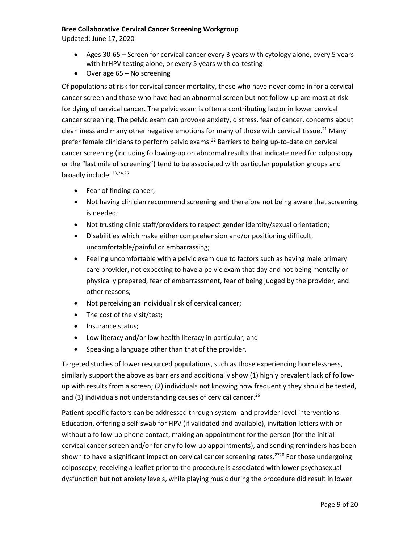Updated: June 17, 2020

- Ages 30-65 Screen for cervical cancer every 3 years with cytology alone, every 5 years with hrHPV testing alone, or every 5 years with co-testing
- Over age 65 No screening

Of populations at risk for cervical cancer mortality, those who have never come in for a cervical cancer screen and those who have had an abnormal screen but not follow-up are most at risk for dying of cervical cancer. The pelvic exam is often a contributing factor in lower cervical cancer screening. The pelvic exam can provoke anxiety, distress, fear of cancer, concerns about cleanliness and many other negative emotions for many of those with cervical tissue.<sup>21</sup> Many prefer female clinicians to perform pelvic exams.<sup>22</sup> Barriers to being up-to-date on cervical cancer screening (including following-up on abnormal results that indicate need for colposcopy or the "last mile of screening") tend to be associated with particular population groups and broadly include: 23,24,25

- Fear of finding cancer;
- Not having clinician recommend screening and therefore not being aware that screening is needed;
- Not trusting clinic staff/providers to respect gender identity/sexual orientation;
- Disabilities which make either comprehension and/or positioning difficult, uncomfortable/painful or embarrassing;
- Feeling uncomfortable with a pelvic exam due to factors such as having male primary care provider, not expecting to have a pelvic exam that day and not being mentally or physically prepared, fear of embarrassment, fear of being judged by the provider, and other reasons;
- Not perceiving an individual risk of cervical cancer;
- The cost of the visit/test;
- Insurance status;
- Low literacy and/or low health literacy in particular; and
- Speaking a language other than that of the provider.

Targeted studies of lower resourced populations, such as those experiencing homelessness, similarly support the above as barriers and additionally show (1) highly prevalent lack of followup with results from a screen; (2) individuals not knowing how frequently they should be tested, and (3) individuals not understanding causes of cervical cancer.<sup>26</sup>

Patient-specific factors can be addressed through system- and provider-level interventions. Education, offering a self-swab for HPV (if validated and available), invitation letters with or without a follow-up phone contact, making an appointment for the person (for the initial cervical cancer screen and/or for any follow-up appointments), and sending reminders has been shown to have a significant impact on cervical cancer screening rates.<sup>2728</sup> For those undergoing colposcopy, receiving a leaflet prior to the procedure is associated with lower psychosexual dysfunction but not anxiety levels, while playing music during the procedure did result in lower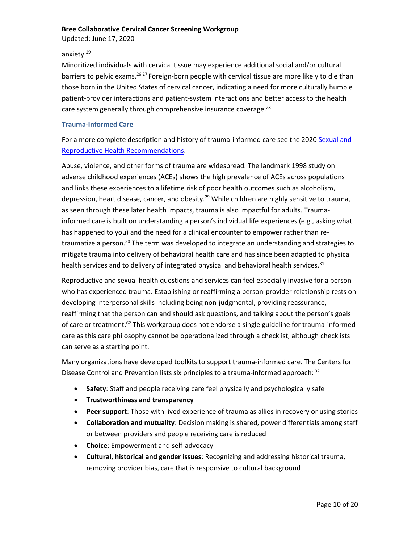Updated: June 17, 2020

## anxiety.<sup>29</sup>

Minoritized individuals with cervical tissue may experience additional social and/or cultural barriers to pelvic exams.<sup>26,27</sup> Foreign-born people with cervical tissue are more likely to die than those born in the United States of cervical cancer, indicating a need for more culturally humble patient-provider interactions and patient-system interactions and better access to the health care system generally through comprehensive insurance coverage.<sup>28</sup>

## <span id="page-10-0"></span>**Trauma-Informed Care**

For a more complete description and history of trauma-informed care see the 2020 [Sexual and](https://www.qualityhealth.org/bree/wp-content/uploads/sites/8/2020/11/Recommendations-Repro-Health-FINAL-2020.pdf)  [Reproductive Health Recommendations.](https://www.qualityhealth.org/bree/wp-content/uploads/sites/8/2020/11/Recommendations-Repro-Health-FINAL-2020.pdf)

Abuse, violence, and other forms of trauma are widespread. The landmark 1998 study on adverse childhood experiences (ACEs) shows the high prevalence of ACEs across populations and links these experiences to a lifetime risk of poor health outcomes such as alcoholism, depression, heart disease, cancer, and obesity.<sup>29</sup> While children are highly sensitive to trauma, as seen through these later health impacts, trauma is also impactful for adults. Traumainformed care is built on understanding a person's individual life experiences (e.g., asking what has happened to you) and the need for a clinical encounter to empower rather than retraumatize a person.<sup>30</sup> The term was developed to integrate an understanding and strategies to mitigate trauma into delivery of behavioral health care and has since been adapted to physical health services and to delivery of integrated physical and behavioral health services.<sup>31</sup>

Reproductive and sexual health questions and services can feel especially invasive for a person who has experienced trauma. Establishing or reaffirming a person-provider relationship rests on developing interpersonal skills including being non-judgmental, providing reassurance, reaffirming that the person can and should ask questions, and talking about the person's goals of care or treatment.<sup>62</sup> This workgroup does not endorse a single guideline for trauma-informed care as this care philosophy cannot be operationalized through a checklist, although checklists can serve as a starting point.

Many organizations have developed toolkits to support trauma-informed care. The Centers for Disease Control and Prevention lists six principles to a trauma-informed approach: 32

- **Safety**: Staff and people receiving care feel physically and psychologically safe
- **Trustworthiness and transparency**
- **Peer support**: Those with lived experience of trauma as allies in recovery or using stories
- **Collaboration and mutuality**: Decision making is shared, power differentials among staff or between providers and people receiving care is reduced
- **Choice**: Empowerment and self-advocacy
- **Cultural, historical and gender issues**: Recognizing and addressing historical trauma, removing provider bias, care that is responsive to cultural background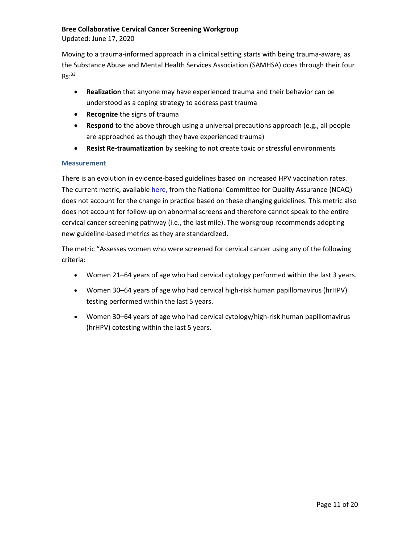Updated: June 17, 2020

Moving to a trauma-informed approach in a clinical setting starts with being trauma-aware, as the Substance Abuse and Mental Health Services Association (SAMHSA) does through their four  $Rs:33$ 

- **Realization** that anyone may have experienced trauma and their behavior can be understood as a coping strategy to address past trauma
- **Recognize** the signs of trauma
- **Respond** to the above through using a universal precautions approach (e.g., all people are approached as though they have experienced trauma)
- **Resist Re-traumatization** by seeking to not create toxic or stressful environments

### <span id="page-11-0"></span>**Measurement**

There is an evolution in evidence-based guidelines based on increased HPV vaccination rates. The current metric, available [here,](https://www.ncqa.org/hedis/measures/cervical-cancer-screening/) from the National Committee for Quality Assurance (NCAQ) does not account for the change in practice based on these changing guidelines. This metric also does not account for follow-up on abnormal screens and therefore cannot speak to the entire cervical cancer screening pathway (i.e., the last mile). The workgroup recommends adopting new guideline-based metrics as they are standardized.

The metric "Assesses women who were screened for cervical cancer using any of the following criteria:

- Women 21–64 years of age who had cervical cytology performed within the last 3 years.
- Women 30–64 years of age who had cervical high-risk human papillomavirus (hrHPV) testing performed within the last 5 years.
- Women 30–64 years of age who had cervical cytology/high-risk human papillomavirus (hrHPV) cotesting within the last 5 years.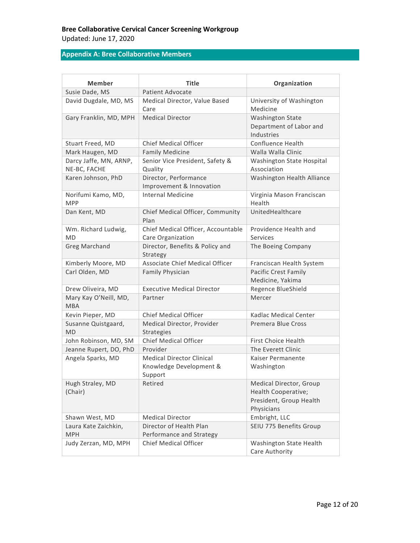## **Bree Collaborative Cervical Cancer Screening Workgroup** Updated: June 17, 2020

## <span id="page-12-0"></span>**Appendix A: Bree Collaborative Members**

| Member                                 | <b>Title</b>                                      | Organization                                                                            |
|----------------------------------------|---------------------------------------------------|-----------------------------------------------------------------------------------------|
| Susie Dade, MS                         | <b>Patient Advocate</b>                           |                                                                                         |
| David Dugdale, MD, MS                  | Medical Director, Value Based<br>Care             | University of Washington<br>Medicine                                                    |
| Gary Franklin, MD, MPH                 | <b>Medical Director</b>                           | <b>Washington State</b><br>Department of Labor and<br>Industries                        |
| Stuart Freed, MD                       | <b>Chief Medical Officer</b>                      | Confluence Health                                                                       |
| Mark Haugen, MD                        | <b>Family Medicine</b>                            | Walla Walla Clinic                                                                      |
| Darcy Jaffe, MN, ARNP,<br>NE-BC, FACHE | Senior Vice President, Safety &<br>Quality        | Washington State Hospital<br>Association                                                |
| Karen Johnson, PhD                     | Director, Performance<br>Improvement & Innovation | Washington Health Alliance                                                              |
| Norifumi Kamo, MD,<br><b>MPP</b>       | <b>Internal Medicine</b>                          | Virginia Mason Franciscan<br>Health                                                     |
| Dan Kent, MD                           | Chief Medical Officer, Community<br>Plan          | UnitedHealthcare                                                                        |
| Wm. Richard Ludwig,                    | Chief Medical Officer, Accountable                | Providence Health and                                                                   |
| <b>MD</b>                              | Care Organization                                 | Services                                                                                |
| <b>Greg Marchand</b>                   | Director, Benefits & Policy and<br>Strategy       | The Boeing Company                                                                      |
| Kimberly Moore, MD                     | Associate Chief Medical Officer                   | Franciscan Health System                                                                |
| Carl Olden, MD                         | <b>Family Physician</b>                           | <b>Pacific Crest Family</b><br>Medicine, Yakima                                         |
| Drew Oliveira, MD                      | <b>Executive Medical Director</b>                 | Regence BlueShield                                                                      |
| Mary Kay O'Neill, MD,<br><b>MBA</b>    | Partner                                           | Mercer                                                                                  |
| Kevin Pieper, MD                       | <b>Chief Medical Officer</b>                      | Kadlac Medical Center                                                                   |
| Susanne Quistgaard,<br><b>MD</b>       | Medical Director, Provider<br><b>Strategies</b>   | <b>Premera Blue Cross</b>                                                               |
| John Robinson, MD, SM                  | Chief Medical Officer                             | <b>First Choice Health</b>                                                              |
| Jeanne Rupert, DO, PhD                 | Provider                                          | The Everett Clinic                                                                      |
| Angela Sparks, MD                      | <b>Medical Director Clinical</b>                  | Kaiser Permanente                                                                       |
|                                        | Knowledge Development &<br>Support                | Washington                                                                              |
| Hugh Straley, MD<br>(Chair)            | Retired                                           | Medical Director, Group<br>Health Cooperative;<br>President, Group Health<br>Physicians |
| Shawn West, MD                         | <b>Medical Director</b>                           | Embright, LLC                                                                           |
| Laura Kate Zaichkin,                   | Director of Health Plan                           | SEIU 775 Benefits Group                                                                 |
| <b>MPH</b>                             | Performance and Strategy                          |                                                                                         |
| Judy Zerzan, MD, MPH                   | <b>Chief Medical Officer</b>                      | Washington State Health<br>Care Authority                                               |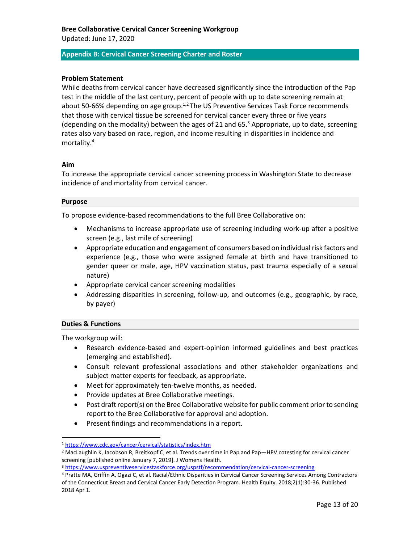#### <span id="page-13-0"></span>**Appendix B: Cervical Cancer Screening Charter and Roster**

#### **Problem Statement**

While deaths from cervical cancer have decreased significantly since the introduction of the Pap test in the middle of the last century, percent of people with up to date screening remain at about 50-66% depending on age group.<sup>1,2</sup> The US Preventive Services Task Force recommends that those with cervical tissue be screened for cervical cancer every three or five years (depending on the modality) between the ages of 21 and 65. $3$  Appropriate, up to date, screening rates also vary based on race, region, and income resulting in disparities in incidence and mortality.<sup>4</sup>

#### **Aim**

To increase the appropriate cervical cancer screening process in Washington State to decrease incidence of and mortality from cervical cancer.

#### **Purpose**

To propose evidence-based recommendations to the full Bree Collaborative on:

- Mechanisms to increase appropriate use of screening including work-up after a positive screen (e.g., last mile of screening)
- Appropriate education and engagement of consumers based on individual risk factors and experience (e.g., those who were assigned female at birth and have transitioned to gender queer or male, age, HPV vaccination status, past trauma especially of a sexual nature)
- Appropriate cervical cancer screening modalities
- Addressing disparities in screening, follow-up, and outcomes (e.g., geographic, by race, by payer)

#### **Duties & Functions**

The workgroup will:

- Research evidence-based and expert-opinion informed guidelines and best practices (emerging and established).
- Consult relevant professional associations and other stakeholder organizations and subject matter experts for feedback, as appropriate.
- Meet for approximately ten-twelve months, as needed.
- Provide updates at Bree Collaborative meetings.
- Post draft report(s) on the Bree Collaborative website for public comment prior to sending report to the Bree Collaborative for approval and adoption.
- Present findings and recommendations in a report.

<sup>1</sup> <https://www.cdc.gov/cancer/cervical/statistics/index.htm>

<sup>2</sup> MacLaughlin K, Jacobson R, Breitkopf C, et al. Trends over time in Pap and Pap—HPV cotesting for cervical cancer screening [published online January 7, 2019]. J Womens Health.

<sup>3</sup> <https://www.uspreventiveservicestaskforce.org/uspstf/recommendation/cervical-cancer-screening>

<sup>4</sup> Pratte MA, Griffin A, Ogazi C, et al. Racial/Ethnic Disparities in Cervical Cancer Screening Services Among Contractors of the Connecticut Breast and Cervical Cancer Early Detection Program. Health Equity. 2018;2(1):30-36. Published 2018 Apr 1.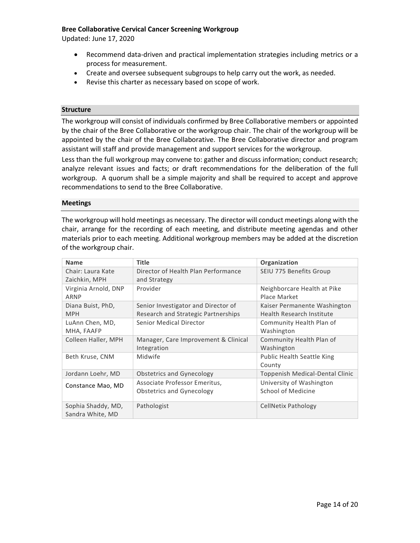Updated: June 17, 2020

- Recommend data-driven and practical implementation strategies including metrics or a process for measurement.
- Create and oversee subsequent subgroups to help carry out the work, as needed.
- Revise this charter as necessary based on scope of work.

#### **Structure**

The workgroup will consist of individuals confirmed by Bree Collaborative members or appointed by the chair of the Bree Collaborative or the workgroup chair. The chair of the workgroup will be appointed by the chair of the Bree Collaborative. The Bree Collaborative director and program assistant will staff and provide management and support services for the workgroup.

Less than the full workgroup may convene to: gather and discuss information; conduct research; analyze relevant issues and facts; or draft recommendations for the deliberation of the full workgroup. A quorum shall be a simple majority and shall be required to accept and approve recommendations to send to the Bree Collaborative.

#### **Meetings**

The workgroup will hold meetings as necessary. The director will conduct meetings along with the chair, arrange for the recording of each meeting, and distribute meeting agendas and other materials prior to each meeting. Additional workgroup members may be added at the discretion of the workgroup chair.

| <b>Name</b>          | <b>Title</b>                         | Organization                      |
|----------------------|--------------------------------------|-----------------------------------|
| Chair: Laura Kate    | Director of Health Plan Performance  | SEIU 775 Benefits Group           |
| Zaichkin, MPH        | and Strategy                         |                                   |
| Virginia Arnold, DNP | Provider                             | Neighborcare Health at Pike       |
| ARNP                 |                                      | Place Market                      |
| Diana Buist, PhD,    | Senior Investigator and Director of  | Kaiser Permanente Washington      |
| <b>MPH</b>           | Research and Strategic Partnerships  | Health Research Institute         |
| LuAnn Chen, MD,      | Senior Medical Director              | Community Health Plan of          |
| MHA, FAAFP           |                                      | Washington                        |
| Colleen Haller, MPH  | Manager, Care Improvement & Clinical | Community Health Plan of          |
|                      | Integration                          | Washington                        |
| Beth Kruse, CNM      | Midwife                              | <b>Public Health Seattle King</b> |
|                      |                                      | County                            |
| Jordann Loehr, MD    | Obstetrics and Gynecology            | Toppenish Medical-Dental Clinic   |
| Constance Mao, MD    | Associate Professor Emeritus,        | University of Washington          |
|                      | Obstetrics and Gynecology            | School of Medicine                |
|                      |                                      |                                   |
| Sophia Shaddy, MD,   | Pathologist                          | CellNetix Pathology               |
| Sandra White, MD     |                                      |                                   |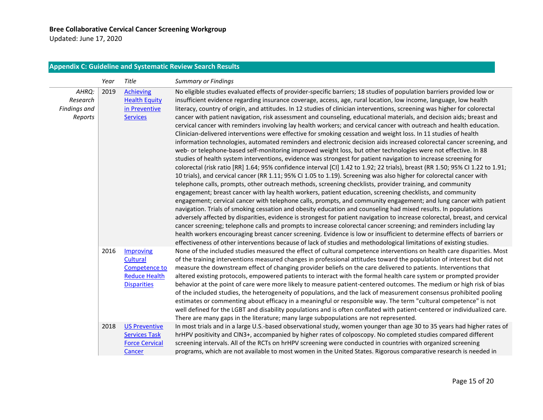Updated: June 17, 2020

## **Appendix C: Guideline and Systematic Review Search Results**

<span id="page-15-0"></span>

|                                                     | Year | Title                                                                                | <b>Summary or Findings</b>                                                                                                                                                                                                                                                                                                                                                                                                                                                                                                                                                                                                                                                                                                                                                                                                                                                                                                                                                                                                                                                                                                                                                                                                                                                                                                                                                                                                                                                                                                                                                                                                                                                                                                                                                                                                                                                                                                                                                                                                                                                                                                                                                                                                                                                                                                                  |
|-----------------------------------------------------|------|--------------------------------------------------------------------------------------|---------------------------------------------------------------------------------------------------------------------------------------------------------------------------------------------------------------------------------------------------------------------------------------------------------------------------------------------------------------------------------------------------------------------------------------------------------------------------------------------------------------------------------------------------------------------------------------------------------------------------------------------------------------------------------------------------------------------------------------------------------------------------------------------------------------------------------------------------------------------------------------------------------------------------------------------------------------------------------------------------------------------------------------------------------------------------------------------------------------------------------------------------------------------------------------------------------------------------------------------------------------------------------------------------------------------------------------------------------------------------------------------------------------------------------------------------------------------------------------------------------------------------------------------------------------------------------------------------------------------------------------------------------------------------------------------------------------------------------------------------------------------------------------------------------------------------------------------------------------------------------------------------------------------------------------------------------------------------------------------------------------------------------------------------------------------------------------------------------------------------------------------------------------------------------------------------------------------------------------------------------------------------------------------------------------------------------------------|
| AHRQ:<br>Research<br><b>Findings and</b><br>Reports | 2019 | <b>Achieving</b><br><b>Health Equity</b><br>in Preventive<br><b>Services</b>         | No eligible studies evaluated effects of provider-specific barriers; 18 studies of population barriers provided low or<br>insufficient evidence regarding insurance coverage, access, age, rural location, low income, language, low health<br>literacy, country of origin, and attitudes. In 12 studies of clinician interventions, screening was higher for colorectal<br>cancer with patient navigation, risk assessment and counseling, educational materials, and decision aids; breast and<br>cervical cancer with reminders involving lay health workers; and cervical cancer with outreach and health education.<br>Clinician-delivered interventions were effective for smoking cessation and weight loss. In 11 studies of health<br>information technologies, automated reminders and electronic decision aids increased colorectal cancer screening, and<br>web- or telephone-based self-monitoring improved weight loss, but other technologies were not effective. In 88<br>studies of health system interventions, evidence was strongest for patient navigation to increase screening for<br>colorectal (risk ratio [RR] 1.64; 95% confidence interval [Cl] 1.42 to 1.92; 22 trials), breast (RR 1.50; 95% Cl 1.22 to 1.91;<br>10 trials), and cervical cancer (RR 1.11; 95% CI 1.05 to 1.19). Screening was also higher for colorectal cancer with<br>telephone calls, prompts, other outreach methods, screening checklists, provider training, and community<br>engagement; breast cancer with lay health workers, patient education, screening checklists, and community<br>engagement; cervical cancer with telephone calls, prompts, and community engagement; and lung cancer with patient<br>navigation. Trials of smoking cessation and obesity education and counseling had mixed results. In populations<br>adversely affected by disparities, evidence is strongest for patient navigation to increase colorectal, breast, and cervical<br>cancer screening; telephone calls and prompts to increase colorectal cancer screening; and reminders including lay<br>health workers encouraging breast cancer screening. Evidence is low or insufficient to determine effects of barriers or<br>effectiveness of other interventions because of lack of studies and methodological limitations of existing studies. |
|                                                     | 2016 | Improving<br>Cultural<br>Competence to<br><b>Reduce Health</b><br><b>Disparities</b> | None of the included studies measured the effect of cultural competence interventions on health care disparities. Most<br>of the training interventions measured changes in professional attitudes toward the population of interest but did not<br>measure the downstream effect of changing provider beliefs on the care delivered to patients. Interventions that<br>altered existing protocols, empowered patients to interact with the formal health care system or prompted provider<br>behavior at the point of care were more likely to measure patient-centered outcomes. The medium or high risk of bias<br>of the included studies, the heterogeneity of populations, and the lack of measurement consensus prohibited pooling<br>estimates or commenting about efficacy in a meaningful or responsible way. The term "cultural competence" is not<br>well defined for the LGBT and disability populations and is often conflated with patient-centered or individualized care.<br>There are many gaps in the literature; many large subpopulations are not represented.                                                                                                                                                                                                                                                                                                                                                                                                                                                                                                                                                                                                                                                                                                                                                                                                                                                                                                                                                                                                                                                                                                                                                                                                                                                         |
|                                                     | 2018 | <b>US Preventive</b><br><b>Services Task</b><br><b>Force Cervical</b><br>Cancer      | In most trials and in a large U.S.-based observational study, women younger than age 30 to 35 years had higher rates of<br>hrHPV positivity and CIN3+, accompanied by higher rates of colposcopy. No completed studies compared different<br>screening intervals. All of the RCTs on hrHPV screening were conducted in countries with organized screening<br>programs, which are not available to most women in the United States. Rigorous comparative research is needed in                                                                                                                                                                                                                                                                                                                                                                                                                                                                                                                                                                                                                                                                                                                                                                                                                                                                                                                                                                                                                                                                                                                                                                                                                                                                                                                                                                                                                                                                                                                                                                                                                                                                                                                                                                                                                                                               |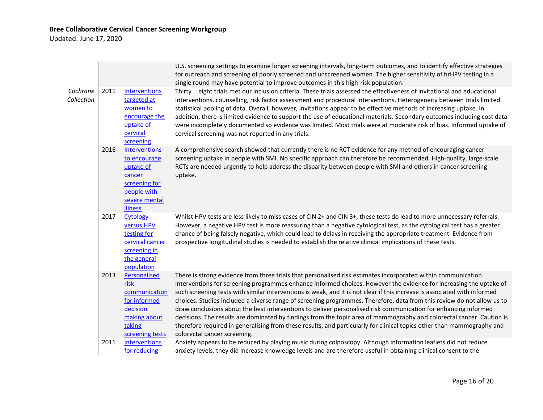Updated: June 17, 2020

|                        |      |                                                                                                                         | U.S. screening settings to examine longer screening intervals, long-term outcomes, and to identify effective strategies<br>for outreach and screening of poorly screened and unscreened women. The higher sensitivity of hrHPV testing in a<br>single round may have potential to improve outcomes in this high-risk population.                                                                                                                                                                                                                                                                                                                                                                                                                                                                                                                                                                 |
|------------------------|------|-------------------------------------------------------------------------------------------------------------------------|--------------------------------------------------------------------------------------------------------------------------------------------------------------------------------------------------------------------------------------------------------------------------------------------------------------------------------------------------------------------------------------------------------------------------------------------------------------------------------------------------------------------------------------------------------------------------------------------------------------------------------------------------------------------------------------------------------------------------------------------------------------------------------------------------------------------------------------------------------------------------------------------------|
| Cochrane<br>Collection | 2011 | <b>Interventions</b><br>targeted at<br>women to<br>encourage the<br>uptake of<br>cervical<br>screening                  | Thirty - eight trials met our inclusion criteria. These trials assessed the effectiveness of invitational and educational<br>interventions, counselling, risk factor assessment and procedural interventions. Heterogeneity between trials limited<br>statistical pooling of data. Overall, however, invitations appear to be effective methods of increasing uptake. In<br>addition, there is limited evidence to support the use of educational materials. Secondary outcomes including cost data<br>were incompletely documented so evidence was limited. Most trials were at moderate risk of bias. Informed uptake of<br>cervical screening was not reported in any trials.                                                                                                                                                                                                                 |
|                        | 2016 | <b>Interventions</b><br>to encourage<br>uptake of<br>cancer<br>screening for<br>people with<br>severe mental<br>illness | A comprehensive search showed that currently there is no RCT evidence for any method of encouraging cancer<br>screening uptake in people with SMI. No specific approach can therefore be recommended. High-quality, large-scale<br>RCTs are needed urgently to help address the disparity between people with SMI and others in cancer screening<br>uptake.                                                                                                                                                                                                                                                                                                                                                                                                                                                                                                                                      |
|                        | 2017 | Cytology<br>versus HPV<br>testing for<br>cervical cancer<br>screening in<br>the general<br>population                   | Whilst HPV tests are less likely to miss cases of CIN 2+ and CIN 3+, these tests do lead to more unnecessary referrals.<br>However, a negative HPV test is more reassuring than a negative cytological test, as the cytological test has a greater<br>chance of being falsely negative, which could lead to delays in receiving the appropriate treatment. Evidence from<br>prospective longitudinal studies is needed to establish the relative clinical implications of these tests.                                                                                                                                                                                                                                                                                                                                                                                                           |
|                        | 2013 | Personalised<br>risk<br>communication<br>for informed<br>decision<br>making about<br>taking<br>screening tests          | There is strong evidence from three trials that personalised risk estimates incorporated within communication<br>interventions for screening programmes enhance informed choices. However the evidence for increasing the uptake of<br>such screening tests with similar interventions is weak, and it is not clear if this increase is associated with informed<br>choices. Studies included a diverse range of screening programmes. Therefore, data from this review do not allow us to<br>draw conclusions about the best interventions to deliver personalised risk communication for enhancing informed<br>decisions. The results are dominated by findings from the topic area of mammography and colorectal cancer. Caution is<br>therefore required in generalising from these results, and particularly for clinical topics other than mammography and<br>colorectal cancer screening. |
|                        | 2011 | <b>Interventions</b><br>for reducing                                                                                    | Anxiety appears to be reduced by playing music during colposcopy. Although information leaflets did not reduce<br>anxiety levels, they did increase knowledge levels and are therefore useful in obtaining clinical consent to the                                                                                                                                                                                                                                                                                                                                                                                                                                                                                                                                                                                                                                                               |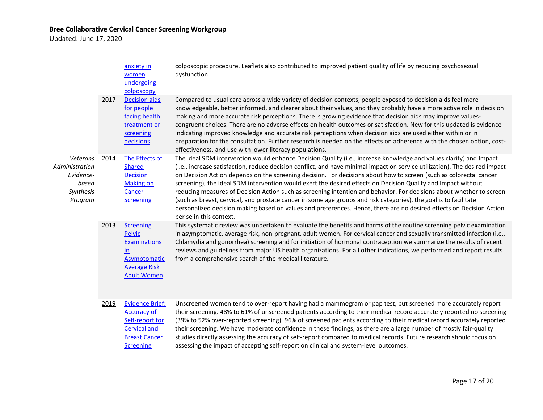Updated: June 17, 2020

|                                                                          |      | anxiety in<br>women<br>undergoing<br>colposcopy                                                                                    | colposcopic procedure. Leaflets also contributed to improved patient quality of life by reducing psychosexual<br>dysfunction.                                                                                                                                                                                                                                                                                                                                                                                                                                                                                                                                                                                                                                                                                                                                                            |
|--------------------------------------------------------------------------|------|------------------------------------------------------------------------------------------------------------------------------------|------------------------------------------------------------------------------------------------------------------------------------------------------------------------------------------------------------------------------------------------------------------------------------------------------------------------------------------------------------------------------------------------------------------------------------------------------------------------------------------------------------------------------------------------------------------------------------------------------------------------------------------------------------------------------------------------------------------------------------------------------------------------------------------------------------------------------------------------------------------------------------------|
|                                                                          | 2017 | <b>Decision aids</b><br>for people<br>facing health<br>treatment or<br>screening<br>decisions                                      | Compared to usual care across a wide variety of decision contexts, people exposed to decision aids feel more<br>knowledgeable, better informed, and clearer about their values, and they probably have a more active role in decision<br>making and more accurate risk perceptions. There is growing evidence that decision aids may improve values-<br>congruent choices. There are no adverse effects on health outcomes or satisfaction. New for this updated is evidence<br>indicating improved knowledge and accurate risk perceptions when decision aids are used either within or in<br>preparation for the consultation. Further research is needed on the effects on adherence with the chosen option, cost-<br>effectiveness, and use with lower literacy populations.                                                                                                         |
| Veterans<br>Administration<br>Evidence-<br>based<br>Synthesis<br>Program | 2014 | The Effects of<br><b>Shared</b><br><b>Decision</b><br><b>Making on</b><br>Cancer<br><b>Screening</b>                               | The ideal SDM intervention would enhance Decision Quality (i.e., increase knowledge and values clarity) and Impact<br>(i.e., increase satisfaction, reduce decision conflict, and have minimal impact on service utilization). The desired impact<br>on Decision Action depends on the screening decision. For decisions about how to screen (such as colorectal cancer<br>screening), the ideal SDM intervention would exert the desired effects on Decision Quality and Impact without<br>reducing measures of Decision Action such as screening intention and behavior. For decisions about whether to screen<br>(such as breast, cervical, and prostate cancer in some age groups and risk categories), the goal is to facilitate<br>personalized decision making based on values and preferences. Hence, there are no desired effects on Decision Action<br>per se in this context. |
|                                                                          | 2013 | <b>Screening</b><br>Pelvic<br><b>Examinations</b><br>in.<br>Asymptomatic<br><b>Average Risk</b><br><b>Adult Women</b>              | This systematic review was undertaken to evaluate the benefits and harms of the routine screening pelvic examination<br>in asymptomatic, average risk, non-pregnant, adult women. For cervical cancer and sexually transmitted infection (i.e.,<br>Chlamydia and gonorrhea) screening and for initiation of hormonal contraception we summarize the results of recent<br>reviews and guidelines from major US health organizations. For all other indications, we performed and report results<br>from a comprehensive search of the medical literature.                                                                                                                                                                                                                                                                                                                                 |
|                                                                          | 2019 | <b>Evidence Brief:</b><br><b>Accuracy of</b><br>Self-report for<br><b>Cervical and</b><br><b>Breast Cancer</b><br><b>Screening</b> | Unscreened women tend to over-report having had a mammogram or pap test, but screened more accurately report<br>their screening. 48% to 61% of unscreened patients according to their medical record accurately reported no screening<br>(39% to 52% over-reported screening). 96% of screened patients according to their medical record accurately reported<br>their screening. We have moderate confidence in these findings, as there are a large number of mostly fair-quality<br>studies directly assessing the accuracy of self-report compared to medical records. Future research should focus on<br>assessing the impact of accepting self-report on clinical and system-level outcomes.                                                                                                                                                                                       |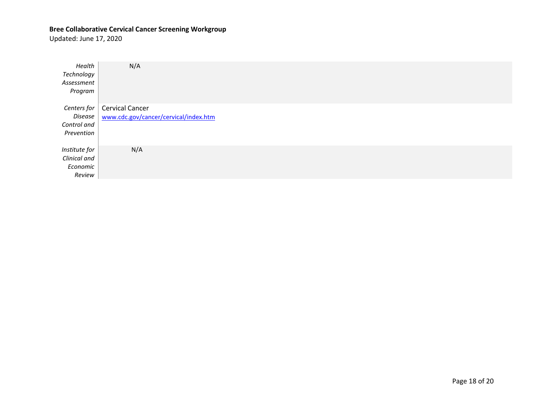Updated: June 17, 2020

| Health<br>Technology<br>Assessment<br>Program       | N/A                                                      |
|-----------------------------------------------------|----------------------------------------------------------|
| Centers for<br>Disease<br>Control and<br>Prevention | Cervical Cancer<br>www.cdc.gov/cancer/cervical/index.htm |
| Institute for<br>Clinical and<br>Economic<br>Review | N/A                                                      |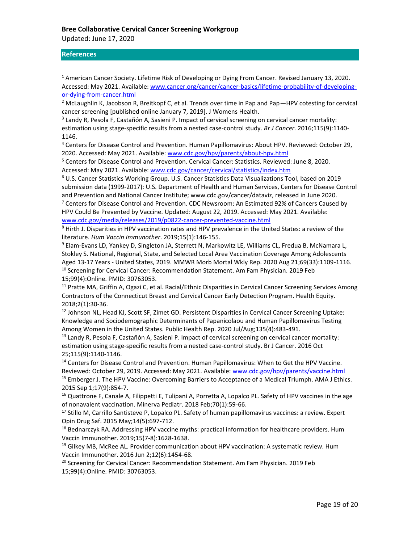Updated: June 17, 2020

## <span id="page-19-0"></span>**References**

<sup>1</sup> American Cancer Society. Lifetime Risk of Developing or Dying From Cancer. Revised January 13, 2020. Accessed: May 2021. Available: [www.cancer.org/cancer/cancer-basics/lifetime-probability-of-developing](http://www.cancer.org/cancer/cancer-basics/lifetime-probability-of-developing-or-dying-from-cancer.html)[or-dying-from-cancer.html](http://www.cancer.org/cancer/cancer-basics/lifetime-probability-of-developing-or-dying-from-cancer.html)

<sup>2</sup> McLaughlin K, Jacobson R, Breitkopf C, et al. Trends over time in Pap and Pap-HPV cotesting for cervical cancer screening [published online January 7, 2019]. J Womens Health.

3 Landy R, Pesola F, Castañón A, Sasieni P. Impact of cervical screening on cervical cancer mortality: estimation using stage-specific results from a nested case-control study. *Br J Cancer*. 2016;115(9):1140- 1146.

<sup>4</sup> Centers for Disease Control and Prevention. Human Papillomavirus: About HPV. Reviewed: October 29, 2020. Accessed: May 2021. Available[: www.cdc.gov/hpv/parents/about-hpv.html](http://www.cdc.gov/hpv/parents/about-hpv.html)

<sup>5</sup> Centers for Disease Control and Prevention. Cervical Cancer: Statistics. Reviewed: June 8, 2020. Accessed: May 2021. Available: [www.cdc.gov/cancer/cervical/statistics/index.htm](http://www.cdc.gov/cancer/cervical/statistics/index.htm)

<sup>6</sup> U.S. Cancer Statistics Working Group. U.S. Cancer Statistics Data Visualizations Tool, based on 2019 submission data (1999-2017): U.S. Department of Health and Human Services, Centers for Disease Control and Prevention and National Cancer Institute; www.cdc.gov/cancer/dataviz, released in June 2020.  $7$  Centers for Disease Control and Prevention. CDC Newsroom: An Estimated 92% of Cancers Caused by

HPV Could Be Prevented by Vaccine. Updated: August 22, 2019. Accessed: May 2021. Available: [www.cdc.gov/media/releases/2019/p0822-cancer-prevented-vaccine.html](http://www.cdc.gov/media/releases/2019/p0822-cancer-prevented-vaccine.html)

<sup>8</sup> Hirth J. Disparities in HPV vaccination rates and HPV prevalence in the United States: a review of the literature. *Hum Vaccin Immunother*. 2019;15(1):146-155.

<sup>9</sup> Elam-Evans LD, Yankey D, Singleton JA, Sterrett N, Markowitz LE, Williams CL, Fredua B, McNamara L, Stokley S. National, Regional, State, and Selected Local Area Vaccination Coverage Among Adolescents Aged 13-17 Years - United States, 2019. MMWR Morb Mortal Wkly Rep. 2020 Aug 21;69(33):1109-1116. <sup>10</sup> Screening for Cervical Cancer: Recommendation Statement. Am Fam Physician. 2019 Feb 15;99(4):Online. PMID: 30763053.

<sup>11</sup> Pratte MA, Griffin A, Ogazi C, et al. Racial/Ethnic Disparities in Cervical Cancer Screening Services Among Contractors of the Connecticut Breast and Cervical Cancer Early Detection Program. Health Equity. 2018;2(1):30-36.

<sup>12</sup> Johnson NL, Head KJ, Scott SF, Zimet GD. Persistent Disparities in Cervical Cancer Screening Uptake: Knowledge and Sociodemographic Determinants of Papanicolaou and Human Papillomavirus Testing Among Women in the United States. Public Health Rep. 2020 Jul/Aug;135(4):483-491.

<sup>13</sup> Landy R, Pesola F, Castañón A, Sasieni P. Impact of cervical screening on cervical cancer mortality: estimation using stage-specific results from a nested case-control study. Br J Cancer. 2016 Oct 25;115(9):1140-1146.

<sup>14</sup> Centers for Disease Control and Prevention. Human Papillomavirus: When to Get the HPV Vaccine. Reviewed: October 29, 2019. Accessed: May 2021. Available: [www.cdc.gov/hpv/parents/vaccine.html](http://www.cdc.gov/hpv/parents/vaccine.html) <sup>15</sup> Emberger J. The HPV Vaccine: Overcoming Barriers to Acceptance of a Medical Triumph. AMA J Ethics. 2015 Sep 1;17(9):854-7.

<sup>16</sup> Quattrone F, Canale A, Filippetti E, Tulipani A, Porretta A, Lopalco PL. Safety of HPV vaccines in the age of nonavalent vaccination. Minerva Pediatr. 2018 Feb;70(1):59-66.

<sup>17</sup> Stillo M, Carrillo Santisteve P, Lopalco PL. Safety of human papillomavirus vaccines: a review. Expert Opin Drug Saf. 2015 May;14(5):697-712.

<sup>18</sup> Bednarczyk RA. Addressing HPV vaccine myths: practical information for healthcare providers. Hum Vaccin Immunother. 2019;15(7-8):1628-1638.

 $19$  Gilkey MB, McRee AL. Provider communication about HPV vaccination: A systematic review. Hum Vaccin Immunother. 2016 Jun 2;12(6):1454-68.

<sup>20</sup> Screening for Cervical Cancer: Recommendation Statement. Am Fam Physician. 2019 Feb 15;99(4):Online. PMID: 30763053.